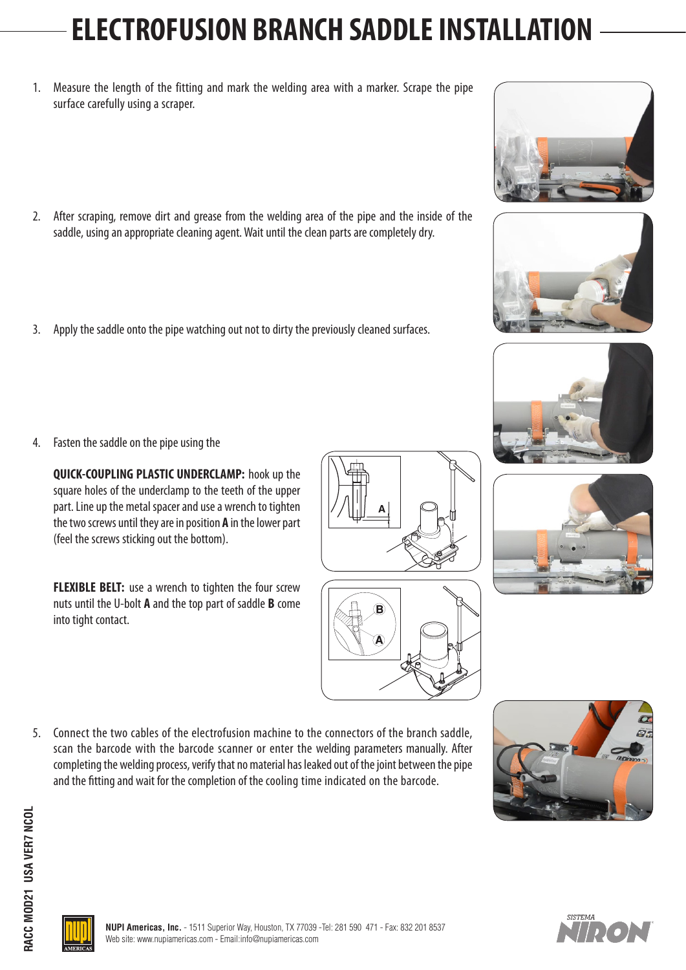## **ELECTROFUSION BRANCH SADDLE INSTALLATION**

- 1. Measure the length of the fitting and mark the welding area with a marker. Scrape the pipe surface carefully using a scraper.
- 2. After scraping, remove dirt and grease from the welding area of the pipe and the inside of the saddle, using an appropriate cleaning agent. Wait until the clean parts are completely dry.
- 3. Apply the saddle onto the pipe watching out not to dirty the previously cleaned surfaces.
- 4. Fasten the saddle on the pipe using the

**QUICK-COUPLING PLASTIC UNDERCLAMP:** hook up the square holes of the underclamp to the teeth of the upper part. Line up the metal spacer and use a wrench to tighten the two screws until they are in position **A** in the lower part (feel the screws sticking out the bottom).

**FLEXIBLE BELT:** use a wrench to tighten the four screw nuts until the U-bolt **A** and the top part of saddle **B** come into tight contact.

5. Connect the two cables of the electrofusion machine to the connectors of the branch saddle, scan the barcode with the barcode scanner or enter the welding parameters manually. After completing the welding process, verify that no material has leaked out of the joint between the pipe and the fitting and wait for the completion of the cooling time indicated on the barcode.

> **NUPI Americas, Inc.** - 1511 Superior Way, Houston, TX 77039 -Tel: 281 590 471 - Fax: 832 201 8537 Web site: www.nupiamericas.com - Email:info@nupiamericas.com













**RACC MOD21 USA VER7 NCOL**